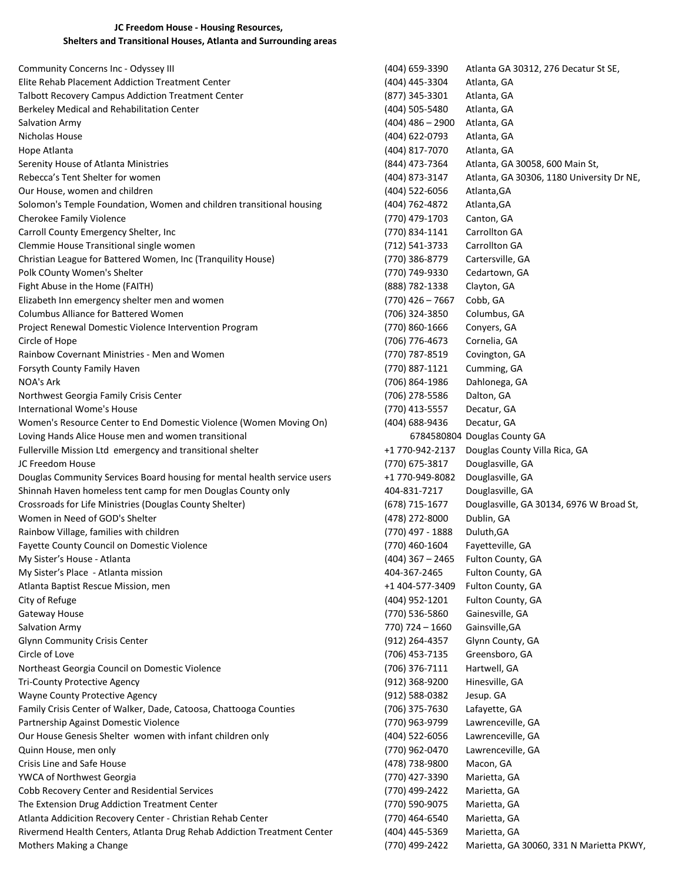## JC Freedom House - Housing Resources, Shelters and Transitional Houses, Atlanta and Surrounding areas

Community Concerns Inc - Odyssey III (404) 659-3390 Atlanta GA 30312, 276 Decatur St SE, Elite Rehab Placement Addiction Treatment Center (404) 445-3304 Atlanta, GA Talbott Recovery Campus Addiction Treatment Center (877) 345-3301 Atlanta, GA Berkeley Medical and Rehabilitation Center (404) 505-5480 Atlanta, GA Salvation Army (404) 486 – 2900 Atlanta, GA Nicholas House (404) 622-0793 Atlanta, GA Hope Atlanta (404) 817-7070 Atlanta, GA Serenity House of Atlanta Ministries (844) 473-7364 Atlanta, GA 30058, 600 Main St, Rebecca's Tent Shelter for women extended the state of the state of the state (404) 873-3147 Atlanta, GA 30306, 1180 University Dr NE, Our House, women and children (404) 522-6056 Atlanta,GA Solomon's Temple Foundation, Women and children transitional housing (404) 762-4872 Atlanta,GA Cherokee Family Violence (770) 479-1703 Canton, GA Carroll County Emergency Shelter, Inc (770) 834-1141 Carrollton GA Clemmie House Transitional single women (712) 541-3733 Carrollton GA Christian League for Battered Women, Inc (Tranquility House) (770) 386-8779 Cartersville, GA Polk COunty Women's Shelter (770) 749-9330 Cedartown, GA Fight Abuse in the Home (FAITH) (888) 782-1338 Clayton, GA Elizabeth Inn emergency shelter men and women (770) 426 – 7667 Cobb, GA Columbus Alliance for Battered Women (706) 324-3850 Columbus, GA Project Renewal Domestic Violence Intervention Program (770) 860-1666 Conyers, GA Circle of Hope (706) 776-4673 Cornelia, GA Rainbow Covernant Ministries - Men and Women (770) 787-8519 Covington, GA Forsyth County Family Haven (770) 887-1121 Cumming, GA NOA's Ark (706) 864-1986 Dahlonega, GA Northwest Georgia Family Crisis Center (706) 278-5586 Dalton, GA International Wome's House (770) 413-5557 Decatur, GA Women's Resource Center to End Domestic Violence (Women Moving On) (404) 688-9436 Decatur, GA Loving Hands Alice House men and women transitional **6784580804** Douglas County GA Fullerville Mission Ltd emergency and transitional shelter +1 770-942-2137 Douglas County Villa Rica, GA JC Freedom House (770) 675-3817 Douglasville, GA Douglas Community Services Board housing for mental health service users +1 770-949-8082 Douglasville, GA Shinnah Haven homeless tent camp for men Douglas County only **1998** and 404-831-7217 Douglasville, GA Crossroads for Life Ministries (Douglas County Shelter) (678) 715-1677 Douglasville, GA 30134, 6976 W Broad St, Women in Need of GOD's Shelter (478) 272-8000 Dublin, GA Rainbow Village, families with children (770) 497 - 1888 Duluth, GA Fayette County Council on Domestic Violence (770) 460-1604 Fayetteville, GA My Sister's House - Atlanta (404) 367 – 2465 Fulton County, GA My Sister's Place - Atlanta mission and the state of the state of the 404-367-2465 Fulton County, GA Atlanta Baptist Rescue Mission, men +1 404-577-3409 Fulton County, GA City of Refuge (404) 952-1201 Fulton County, GA Gateway House (770) 536-5860 Gainesville, GA Salvation Army 770) 724 – 1660 Gainsville,GA Glynn Community Crisis Center (912) 264-4357 Glynn County, GA Circle of Love (706) 453-7135 Greensboro, GA Northeast Georgia Council on Domestic Violence (706) 376-7111 Hartwell, GA Tri-County Protective Agency (912) 368-9200 Hinesville, GA Wayne County Protective Agency (912) 588-0382 Jesup. GA Family Crisis Center of Walker, Dade, Catoosa, Chattooga Counties (706) 375-7630 Lafayette, GA Partnership Against Domestic Violence (770) 963-9799 Lawrenceville, GA Our House Genesis Shelter women with infant children only (404) 522-6056 Lawrenceville, GA Quinn House, men only (770) 962-0470 Lawrenceville, GA Crisis Line and Safe House (478) 738-9800 Macon, GA YWCA of Northwest Georgia (770) 427-3390 Marietta, GA Cobb Recovery Center and Residential Services (770) 499-2422 Marietta, GA The Extension Drug Addiction Treatment Center (770) 590-9075 Marietta, GA Atlanta Addicition Recovery Center - Christian Rehab Center (770) 464-6540 Marietta, GA Rivermend Health Centers, Atlanta Drug Rehab Addiction Treatment Center (404) 445-5369 Marietta, GA

Mothers Making a Change (770) 499-2422 Marietta, GA 30060, 331 N Marietta PKWY,